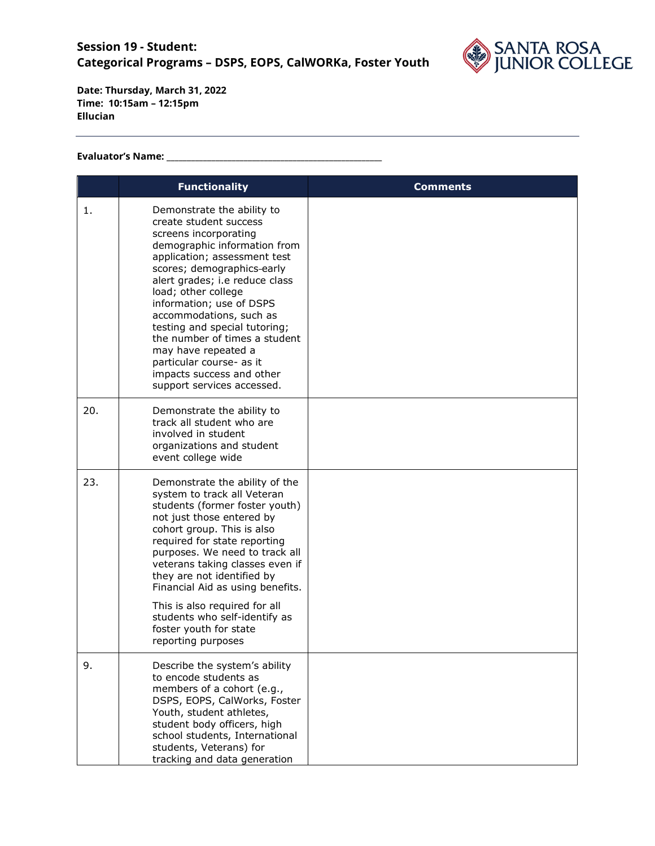

## **Evaluator's Name: \_\_\_\_\_\_\_\_\_\_\_\_\_\_\_\_\_\_\_\_\_\_\_\_\_\_\_\_\_\_\_\_\_\_\_\_\_\_\_\_\_\_\_\_\_\_\_\_\_\_\_\_\_**

|     | <b>Functionality</b>                                                                                                                                                                                                                                                                                                                                                                                                                                                        | Comments |
|-----|-----------------------------------------------------------------------------------------------------------------------------------------------------------------------------------------------------------------------------------------------------------------------------------------------------------------------------------------------------------------------------------------------------------------------------------------------------------------------------|----------|
| 1.  | Demonstrate the ability to<br>create student success<br>screens incorporating<br>demographic information from<br>application; assessment test<br>scores; demographics-early<br>alert grades; i.e reduce class<br>load; other college<br>information; use of DSPS<br>accommodations, such as<br>testing and special tutoring;<br>the number of times a student<br>may have repeated a<br>particular course- as it<br>impacts success and other<br>support services accessed. |          |
| 20. | Demonstrate the ability to<br>track all student who are<br>involved in student<br>organizations and student<br>event college wide                                                                                                                                                                                                                                                                                                                                           |          |
| 23. | Demonstrate the ability of the<br>system to track all Veteran<br>students (former foster youth)<br>not just those entered by<br>cohort group. This is also<br>required for state reporting<br>purposes. We need to track all<br>veterans taking classes even if<br>they are not identified by<br>Financial Aid as using benefits.<br>This is also required for all<br>students who self-identify as<br>foster youth for state<br>reporting purposes                         |          |
| 9.  | Describe the system's ability<br>to encode students as<br>members of a cohort (e.g.,<br>DSPS, EOPS, CalWorks, Foster<br>Youth, student athletes,<br>student body officers, high<br>school students, International<br>students, Veterans) for<br>tracking and data generation                                                                                                                                                                                                |          |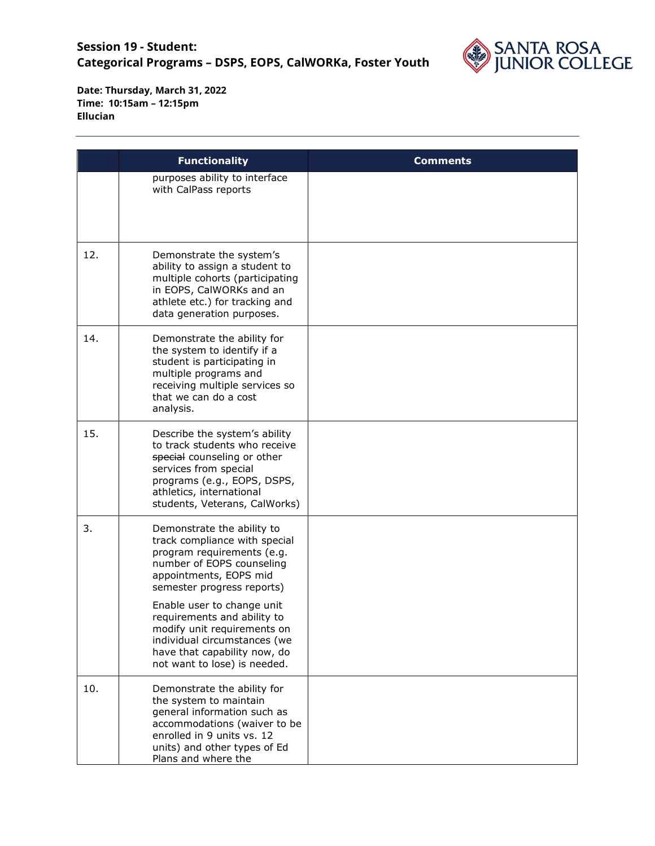

|     | <b>Functionality</b>                                                                                                                                                                                                                                                                                                                                                       | <b>Comments</b> |
|-----|----------------------------------------------------------------------------------------------------------------------------------------------------------------------------------------------------------------------------------------------------------------------------------------------------------------------------------------------------------------------------|-----------------|
|     | purposes ability to interface<br>with CalPass reports                                                                                                                                                                                                                                                                                                                      |                 |
| 12. | Demonstrate the system's<br>ability to assign a student to<br>multiple cohorts (participating<br>in EOPS, CalWORKs and an<br>athlete etc.) for tracking and<br>data generation purposes.                                                                                                                                                                                   |                 |
| 14. | Demonstrate the ability for<br>the system to identify if a<br>student is participating in<br>multiple programs and<br>receiving multiple services so<br>that we can do a cost<br>analysis.                                                                                                                                                                                 |                 |
| 15. | Describe the system's ability<br>to track students who receive<br>special counseling or other<br>services from special<br>programs (e.g., EOPS, DSPS,<br>athletics, international<br>students, Veterans, CalWorks)                                                                                                                                                         |                 |
| 3.  | Demonstrate the ability to<br>track compliance with special<br>program requirements (e.g.<br>number of EOPS counseling<br>appointments, EOPS mid<br>semester progress reports)<br>Enable user to change unit<br>requirements and ability to<br>modify unit requirements on<br>individual circumstances (we<br>have that capability now, do<br>not want to lose) is needed. |                 |
| 10. | Demonstrate the ability for<br>the system to maintain<br>general information such as<br>accommodations (waiver to be<br>enrolled in 9 units vs. 12<br>units) and other types of Ed<br>Plans and where the                                                                                                                                                                  |                 |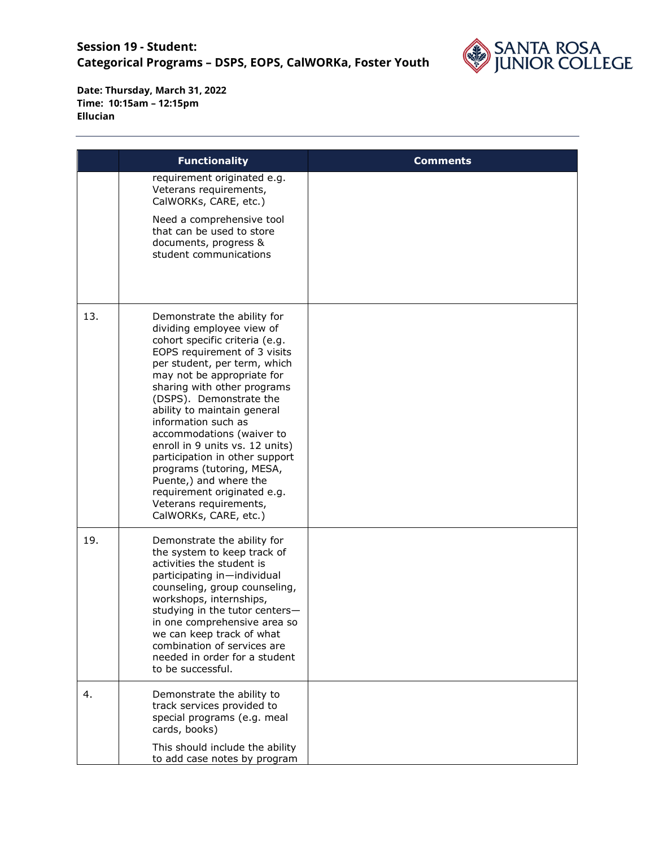

|     | <b>Functionality</b>                                                                                                                                                                                                                                                                                                                                                                                                                                                                                                                                | <b>Comments</b> |
|-----|-----------------------------------------------------------------------------------------------------------------------------------------------------------------------------------------------------------------------------------------------------------------------------------------------------------------------------------------------------------------------------------------------------------------------------------------------------------------------------------------------------------------------------------------------------|-----------------|
|     | requirement originated e.g.<br>Veterans requirements,<br>CalWORKs, CARE, etc.)<br>Need a comprehensive tool<br>that can be used to store<br>documents, progress &<br>student communications                                                                                                                                                                                                                                                                                                                                                         |                 |
| 13. | Demonstrate the ability for<br>dividing employee view of<br>cohort specific criteria (e.g.<br>EOPS requirement of 3 visits<br>per student, per term, which<br>may not be appropriate for<br>sharing with other programs<br>(DSPS). Demonstrate the<br>ability to maintain general<br>information such as<br>accommodations (waiver to<br>enroll in 9 units vs. 12 units)<br>participation in other support<br>programs (tutoring, MESA,<br>Puente,) and where the<br>requirement originated e.g.<br>Veterans requirements,<br>CalWORKs, CARE, etc.) |                 |
| 19. | Demonstrate the ability for<br>the system to keep track of<br>activities the student is<br>participating in-individual<br>counseling, group counseling,<br>workshops, internships,<br>studying in the tutor centers-<br>in one comprehensive area so<br>we can keep track of what<br>combination of services are<br>needed in order for a student<br>to be successful.                                                                                                                                                                              |                 |
| 4.  | Demonstrate the ability to<br>track services provided to<br>special programs (e.g. meal<br>cards, books)<br>This should include the ability<br>to add case notes by program                                                                                                                                                                                                                                                                                                                                                                         |                 |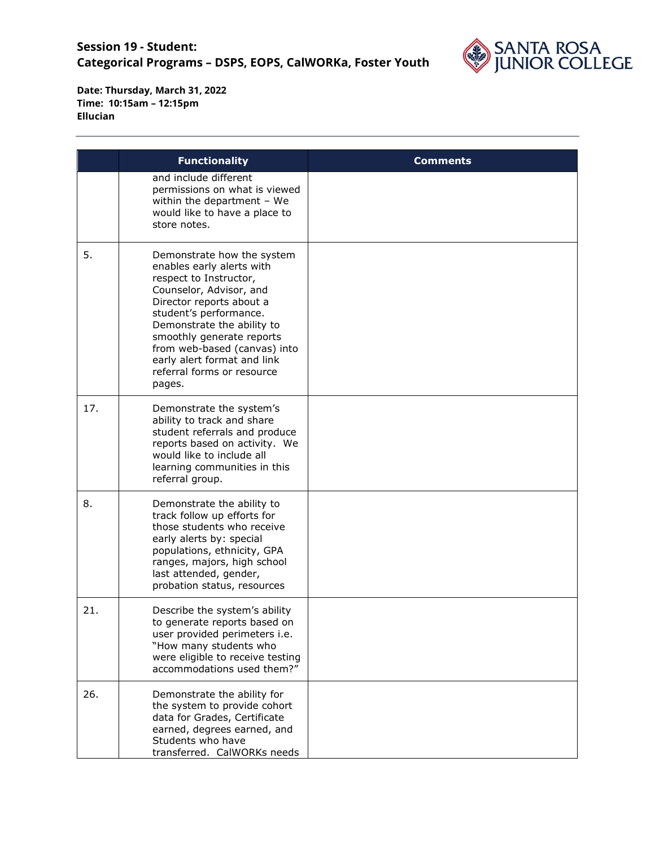

|     | <b>Functionality</b>                                                                                                                                                                                                                                                                                                                 | <b>Comments</b> |
|-----|--------------------------------------------------------------------------------------------------------------------------------------------------------------------------------------------------------------------------------------------------------------------------------------------------------------------------------------|-----------------|
|     | and include different<br>permissions on what is viewed<br>within the department $-$ We<br>would like to have a place to<br>store notes.                                                                                                                                                                                              |                 |
| 5.  | Demonstrate how the system<br>enables early alerts with<br>respect to Instructor,<br>Counselor, Advisor, and<br>Director reports about a<br>student's performance.<br>Demonstrate the ability to<br>smoothly generate reports<br>from web-based (canvas) into<br>early alert format and link<br>referral forms or resource<br>pages. |                 |
| 17. | Demonstrate the system's<br>ability to track and share<br>student referrals and produce<br>reports based on activity. We<br>would like to include all<br>learning communities in this<br>referral group.                                                                                                                             |                 |
| 8.  | Demonstrate the ability to<br>track follow up efforts for<br>those students who receive<br>early alerts by: special<br>populations, ethnicity, GPA<br>ranges, majors, high school<br>last attended, gender,<br>probation status, resources                                                                                           |                 |
| 21. | Describe the system's ability<br>to generate reports based on<br>user provided perimeters i.e.<br>"How many students who<br>were eligible to receive testing<br>accommodations used them?"                                                                                                                                           |                 |
| 26. | Demonstrate the ability for<br>the system to provide cohort<br>data for Grades, Certificate<br>earned, degrees earned, and<br>Students who have<br>transferred. CalWORKs needs                                                                                                                                                       |                 |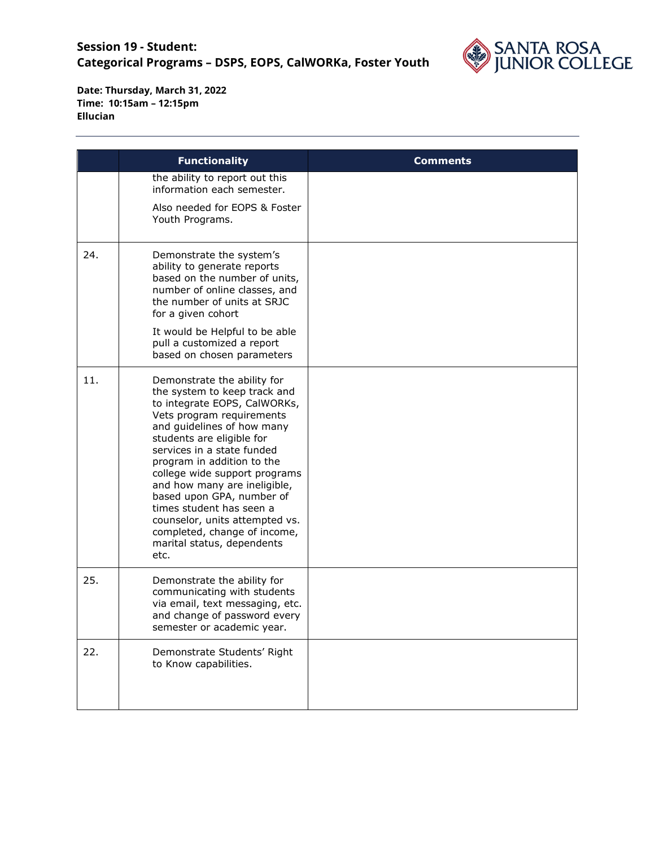

|     | <b>Functionality</b>                                                                                                                                                                                                                                                                                                                                                                                                                                                              | <b>Comments</b> |
|-----|-----------------------------------------------------------------------------------------------------------------------------------------------------------------------------------------------------------------------------------------------------------------------------------------------------------------------------------------------------------------------------------------------------------------------------------------------------------------------------------|-----------------|
|     | the ability to report out this<br>information each semester.                                                                                                                                                                                                                                                                                                                                                                                                                      |                 |
|     | Also needed for EOPS & Foster<br>Youth Programs.                                                                                                                                                                                                                                                                                                                                                                                                                                  |                 |
| 24. | Demonstrate the system's<br>ability to generate reports<br>based on the number of units,<br>number of online classes, and<br>the number of units at SRJC<br>for a given cohort<br>It would be Helpful to be able<br>pull a customized a report<br>based on chosen parameters                                                                                                                                                                                                      |                 |
| 11. | Demonstrate the ability for<br>the system to keep track and<br>to integrate EOPS, CalWORKs,<br>Vets program requirements<br>and guidelines of how many<br>students are eligible for<br>services in a state funded<br>program in addition to the<br>college wide support programs<br>and how many are ineligible,<br>based upon GPA, number of<br>times student has seen a<br>counselor, units attempted vs.<br>completed, change of income,<br>marital status, dependents<br>etc. |                 |
| 25. | Demonstrate the ability for<br>communicating with students<br>via email, text messaging, etc.<br>and change of password every<br>semester or academic year.                                                                                                                                                                                                                                                                                                                       |                 |
| 22. | Demonstrate Students' Right<br>to Know capabilities.                                                                                                                                                                                                                                                                                                                                                                                                                              |                 |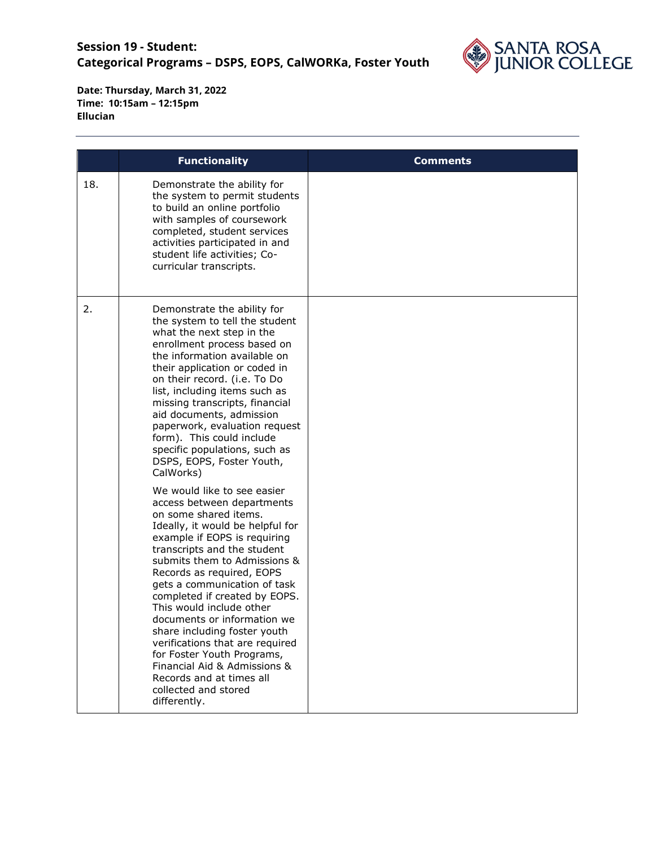

|     | <b>Functionality</b>                                                                                                                                                                                                                                                                                                                                                                                                                                                                                                                                                                                                                                                                                                                                                                                                                                                                                                                                                                                                                      | <b>Comments</b> |
|-----|-------------------------------------------------------------------------------------------------------------------------------------------------------------------------------------------------------------------------------------------------------------------------------------------------------------------------------------------------------------------------------------------------------------------------------------------------------------------------------------------------------------------------------------------------------------------------------------------------------------------------------------------------------------------------------------------------------------------------------------------------------------------------------------------------------------------------------------------------------------------------------------------------------------------------------------------------------------------------------------------------------------------------------------------|-----------------|
| 18. | Demonstrate the ability for<br>the system to permit students<br>to build an online portfolio<br>with samples of coursework<br>completed, student services<br>activities participated in and<br>student life activities; Co-<br>curricular transcripts.                                                                                                                                                                                                                                                                                                                                                                                                                                                                                                                                                                                                                                                                                                                                                                                    |                 |
| 2.  | Demonstrate the ability for<br>the system to tell the student<br>what the next step in the<br>enrollment process based on<br>the information available on<br>their application or coded in<br>on their record. (i.e. To Do<br>list, including items such as<br>missing transcripts, financial<br>aid documents, admission<br>paperwork, evaluation request<br>form). This could include<br>specific populations, such as<br>DSPS, EOPS, Foster Youth,<br>CalWorks)<br>We would like to see easier<br>access between departments<br>on some shared items.<br>Ideally, it would be helpful for<br>example if EOPS is requiring<br>transcripts and the student<br>submits them to Admissions &<br>Records as required, EOPS<br>gets a communication of task<br>completed if created by EOPS.<br>This would include other<br>documents or information we<br>share including foster youth<br>verifications that are required<br>for Foster Youth Programs,<br>Financial Aid & Admissions &<br>Records and at times all<br>collected and stored |                 |
|     | differently.                                                                                                                                                                                                                                                                                                                                                                                                                                                                                                                                                                                                                                                                                                                                                                                                                                                                                                                                                                                                                              |                 |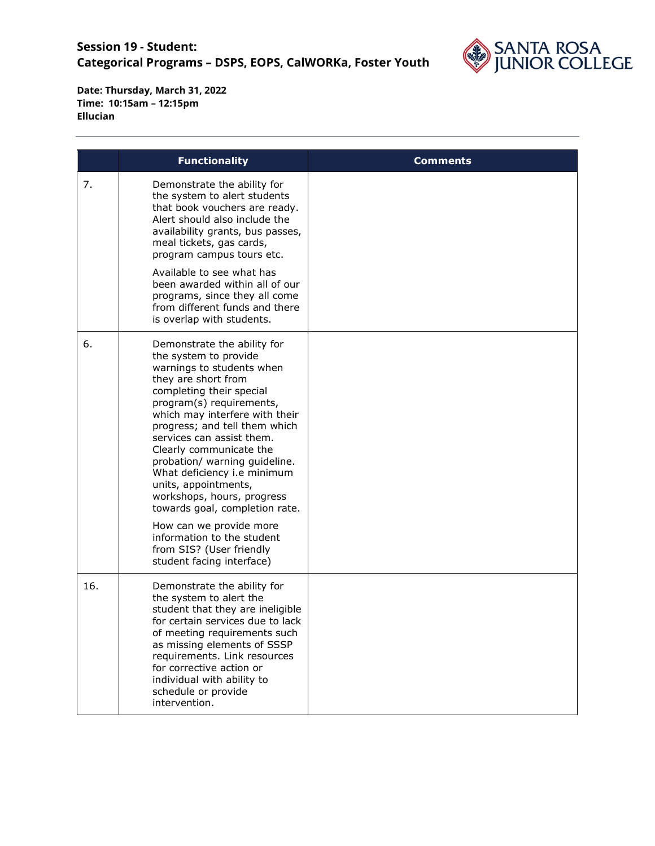

|     | <b>Functionality</b>                                                                                                                                                                                                                                                                                                                                                                                                                                                                                                                                                  | <b>Comments</b> |
|-----|-----------------------------------------------------------------------------------------------------------------------------------------------------------------------------------------------------------------------------------------------------------------------------------------------------------------------------------------------------------------------------------------------------------------------------------------------------------------------------------------------------------------------------------------------------------------------|-----------------|
| 7.  | Demonstrate the ability for<br>the system to alert students<br>that book vouchers are ready.<br>Alert should also include the<br>availability grants, bus passes,<br>meal tickets, gas cards,<br>program campus tours etc.<br>Available to see what has<br>been awarded within all of our<br>programs, since they all come<br>from different funds and there<br>is overlap with students.                                                                                                                                                                             |                 |
| 6.  | Demonstrate the ability for<br>the system to provide<br>warnings to students when<br>they are short from<br>completing their special<br>program(s) requirements,<br>which may interfere with their<br>progress; and tell them which<br>services can assist them.<br>Clearly communicate the<br>probation/ warning guideline.<br>What deficiency i.e minimum<br>units, appointments,<br>workshops, hours, progress<br>towards goal, completion rate.<br>How can we provide more<br>information to the student<br>from SIS? (User friendly<br>student facing interface) |                 |
| 16. | Demonstrate the ability for<br>the system to alert the<br>student that they are ineligible<br>for certain services due to lack<br>of meeting requirements such<br>as missing elements of SSSP<br>requirements. Link resources<br>for corrective action or<br>individual with ability to<br>schedule or provide<br>intervention.                                                                                                                                                                                                                                       |                 |